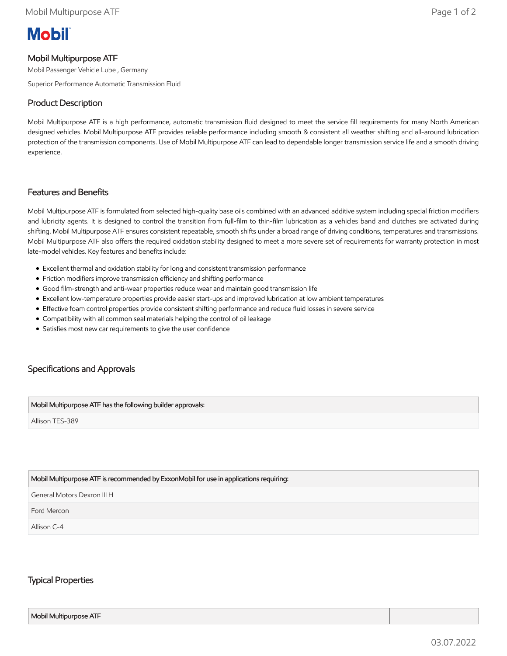# **Mobil**

## Mobil Multipurpose ATF

Mobil Passenger Vehicle Lube , Germany

Superior Performance Automatic Transmission Fluid

## Product Description

Mobil Multipurpose ATF is a high performance, automatic transmission fluid designed to meet the service fill requirements for many North American designed vehicles. Mobil Multipurpose ATF provides reliable performance including smooth & consistent all weather shifting and all-around lubrication protection of the transmission components. Use of Mobil Multipurpose ATF can lead to dependable longer transmission service life and a smooth driving experience.

#### Features and Benefits

Mobil Multipurpose ATF is formulated from selected high-quality base oils combined with an advanced additive system including special friction modifiers and lubricity agents. It is designed to control the transition from full-film to thin-film lubrication as a vehicles band and clutches are activated during shifting. Mobil Multipurpose ATF ensures consistent repeatable, smooth shifts under a broad range of driving conditions, temperatures and transmissions. Mobil Multipurpose ATF also offers the required oxidation stability designed to meet a more severe set of requirements for warranty protection in most late-model vehicles. Key features and benefits include:

- Excellent thermal and oxidation stability for long and consistent transmission performance
- Friction modifiers improve transmission efficiency and shifting performance
- Good film-strength and anti-wear properties reduce wear and maintain good transmission life
- Excellent low-temperature properties provide easier start-ups and improved lubrication at low ambient temperatures
- Effective foam control properties provide consistent shifting performance and reduce fluid losses in severe service
- Compatibility with all common seal materials helping the control of oil leakage
- Satisfies most new car requirements to give the user confidence

# Specifications and Approvals

#### Mobil Multipurpose ATF has the following builder approvals:

Allison TES-389

#### Mobil Multipurpose ATF is recommended by ExxonMobil for use in applications requiring:

General Motors Dexron III H

Ford Mercon

Allison C-4

### Typical Properties